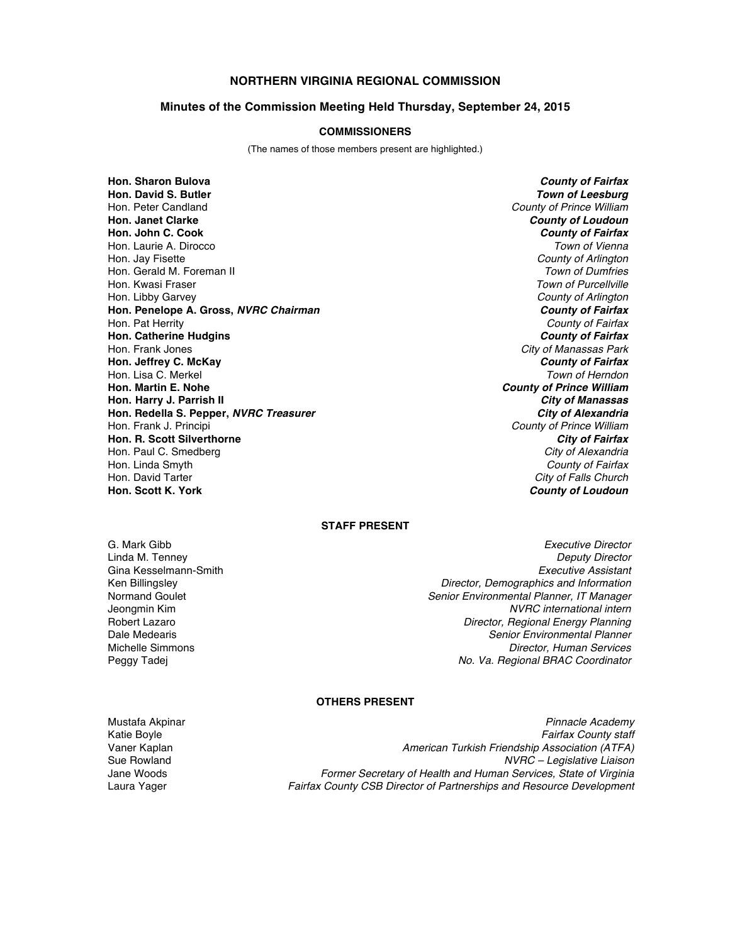# **NORTHERN VIRGINIA REGIONAL COMMISSION**

#### **Minutes of the Commission Meeting Held Thursday, September 24, 2015**

#### **COMMISSIONERS**

(The names of those members present are highlighted.)

**Hon. Sharon Bulova** *County of Fairfax* **Hon. David S. Butler** *Town of Leesburg* Hon. Peter Candland *County of Prince William* **Hon. Janet Clarke** *County of Loudoun* **Hon. John C. Cook** *County of Fairfax* Hon. Laurie A. Dirocco *Town of Vienna* Hon. Jay Fisette *County of Arlington* Hon. Gerald M. Foreman II<br>Hon. Kwasi Fraser Hon. Libby Garvey *County of Arlington* **Hon. Penelope A. Gross,** *NVRC Chairman County of Fairfax* Hon. Pat Herrity *County of Fairfax* **Hon. Catherine Hudgins** *County of Fairfax* Hon. Frank Jones *City of Manassas Park* **Hon. Jeffrey C. McKay** *County of Fairfax* Hon. Lisa C. Merkel<br>**Hon. Martin E. Nohe Hon. Harry J. Parrish II** *City of Manassas* **Hon. Redella S. Pepper,** *NVRC Treasurer* Hon. Frank J. Principi *County of Prince William* **Hon. R. Scott Silverthorne** *City of Fairfax* Hon. Paul C. Smedberg *City of Alexandria* Hon. Linda Smyth *County of Fairfax* Hon. David Tarter *City of Falls Church*

**Town of Purcellville County of Prince William County of Loudoun** 

### **STAFF PRESENT**

Gina Kesselmann-Smith

G. Mark Gibb *Executive Director* Linda M. Tenney *Deputy Director* Ken Billingsley *Director, Demographics and Information* Normand Goulet *Senior Environmental Planner, IT Manager*  $NVRC$  international intern Robert Lazaro *Director, Regional Energy Planning* Dale Medearis *Senior Environmental Planner* Michelle Simmons *Director, Human Services* Peggy Tadej *No. Va. Regional BRAC Coordinator*

## **OTHERS PRESENT**

Mustafa Akpinar *Pinnacle Academy*

Katie Boyle *Fairfax County staff* Vaner Kaplan *American Turkish Friendship Association (ATFA)* Sue Rowland *NVRC – Legislative Liaison* Jane Woods *Former Secretary of Health and Human Services, State of Virginia* Laura Yager *Fairfax County CSB Director of Partnerships and Resource Development*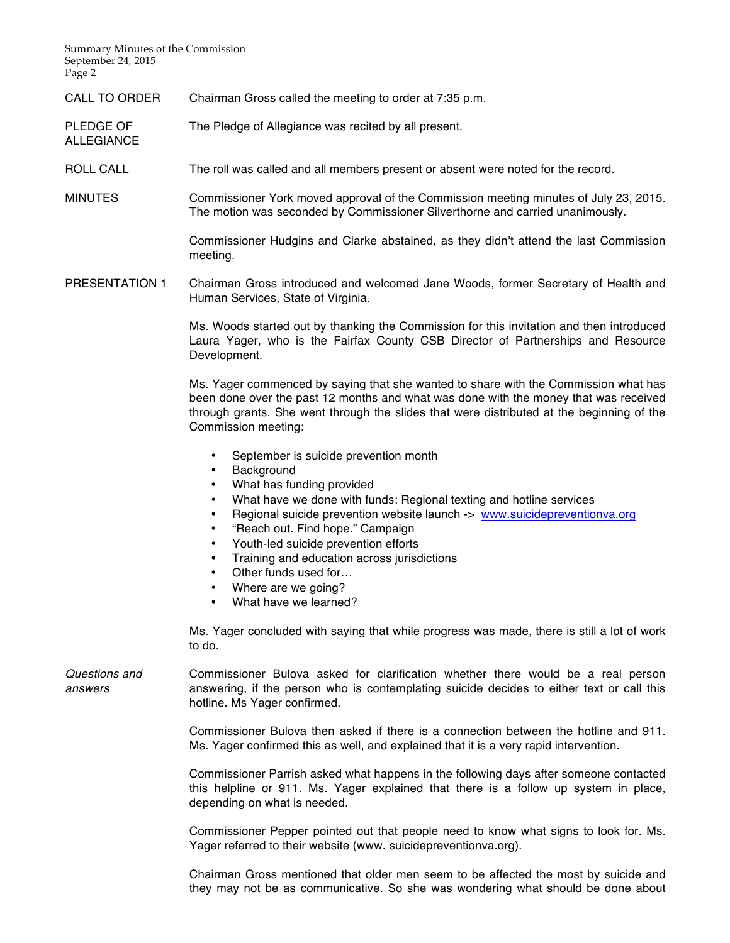Summary Minutes of the Commission September 24, 2015 Page 2

ALLEGIANCE

CALL TO ORDER Chairman Gross called the meeting to order at 7:35 p.m.

PLEDGE OF The Pledge of Allegiance was recited by all present.

- ROLL CALL The roll was called and all members present or absent were noted for the record.
- MINUTES Commissioner York moved approval of the Commission meeting minutes of July 23, 2015. The motion was seconded by Commissioner Silverthorne and carried unanimously.

Commissioner Hudgins and Clarke abstained, as they didn't attend the last Commission meeting.

PRESENTATION 1 Chairman Gross introduced and welcomed Jane Woods, former Secretary of Health and Human Services, State of Virginia.

> Ms. Woods started out by thanking the Commission for this invitation and then introduced Laura Yager, who is the Fairfax County CSB Director of Partnerships and Resource Development.

> Ms. Yager commenced by saying that she wanted to share with the Commission what has been done over the past 12 months and what was done with the money that was received through grants. She went through the slides that were distributed at the beginning of the Commission meeting:

- September is suicide prevention month
- Background
- What has funding provided
- What have we done with funds: Regional texting and hotline services
- Regional suicide prevention website launch -> www.suicidepreventionva.org
- "Reach out. Find hope." Campaign
- Youth-led suicide prevention efforts
- Training and education across jurisdictions
- Other funds used for...
- Where are we going?
- What have we learned?

Ms. Yager concluded with saying that while progress was made, there is still a lot of work to do.

*Questions and answers* Commissioner Bulova asked for clarification whether there would be a real person answering, if the person who is contemplating suicide decides to either text or call this hotline. Ms Yager confirmed.

> Commissioner Bulova then asked if there is a connection between the hotline and 911. Ms. Yager confirmed this as well, and explained that it is a very rapid intervention.

> Commissioner Parrish asked what happens in the following days after someone contacted this helpline or 911. Ms. Yager explained that there is a follow up system in place, depending on what is needed.

> Commissioner Pepper pointed out that people need to know what signs to look for. Ms. Yager referred to their website (www. suicidepreventionva.org).

> Chairman Gross mentioned that older men seem to be affected the most by suicide and they may not be as communicative. So she was wondering what should be done about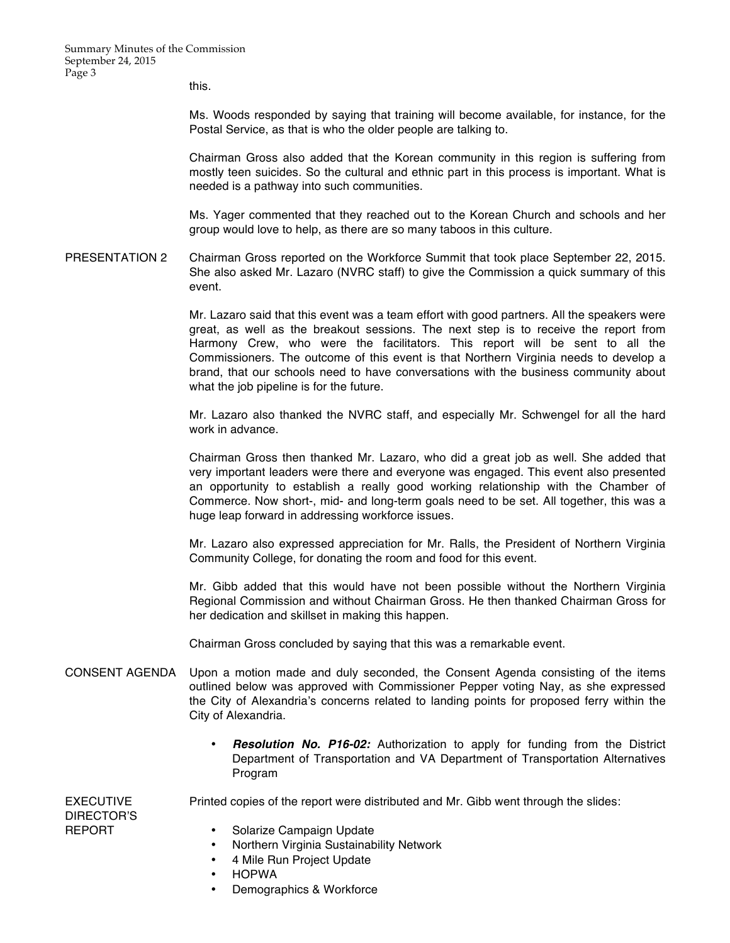this.

Ms. Woods responded by saying that training will become available, for instance, for the Postal Service, as that is who the older people are talking to.

Chairman Gross also added that the Korean community in this region is suffering from mostly teen suicides. So the cultural and ethnic part in this process is important. What is needed is a pathway into such communities.

Ms. Yager commented that they reached out to the Korean Church and schools and her group would love to help, as there are so many taboos in this culture.

PRESENTATION 2 Chairman Gross reported on the Workforce Summit that took place September 22, 2015. She also asked Mr. Lazaro (NVRC staff) to give the Commission a quick summary of this event.

> Mr. Lazaro said that this event was a team effort with good partners. All the speakers were great, as well as the breakout sessions. The next step is to receive the report from Harmony Crew, who were the facilitators. This report will be sent to all the Commissioners. The outcome of this event is that Northern Virginia needs to develop a brand, that our schools need to have conversations with the business community about what the job pipeline is for the future.

> Mr. Lazaro also thanked the NVRC staff, and especially Mr. Schwengel for all the hard work in advance.

> Chairman Gross then thanked Mr. Lazaro, who did a great job as well. She added that very important leaders were there and everyone was engaged. This event also presented an opportunity to establish a really good working relationship with the Chamber of Commerce. Now short-, mid- and long-term goals need to be set. All together, this was a huge leap forward in addressing workforce issues.

> Mr. Lazaro also expressed appreciation for Mr. Ralls, the President of Northern Virginia Community College, for donating the room and food for this event.

> Mr. Gibb added that this would have not been possible without the Northern Virginia Regional Commission and without Chairman Gross. He then thanked Chairman Gross for her dedication and skillset in making this happen.

Chairman Gross concluded by saying that this was a remarkable event.

- CONSENT AGENDA Upon a motion made and duly seconded, the Consent Agenda consisting of the items outlined below was approved with Commissioner Pepper voting Nay, as she expressed the City of Alexandria's concerns related to landing points for proposed ferry within the City of Alexandria.
	- *Resolution No. P16-02:* Authorization to apply for funding from the District Department of Transportation and VA Department of Transportation Alternatives Program

EXECUTIVE DIRECTOR'S REPORT

Printed copies of the report were distributed and Mr. Gibb went through the slides:

- Solarize Campaign Update
	- Northern Virginia Sustainability Network
	- 4 Mile Run Project Update
	- HOPWA
	- Demographics & Workforce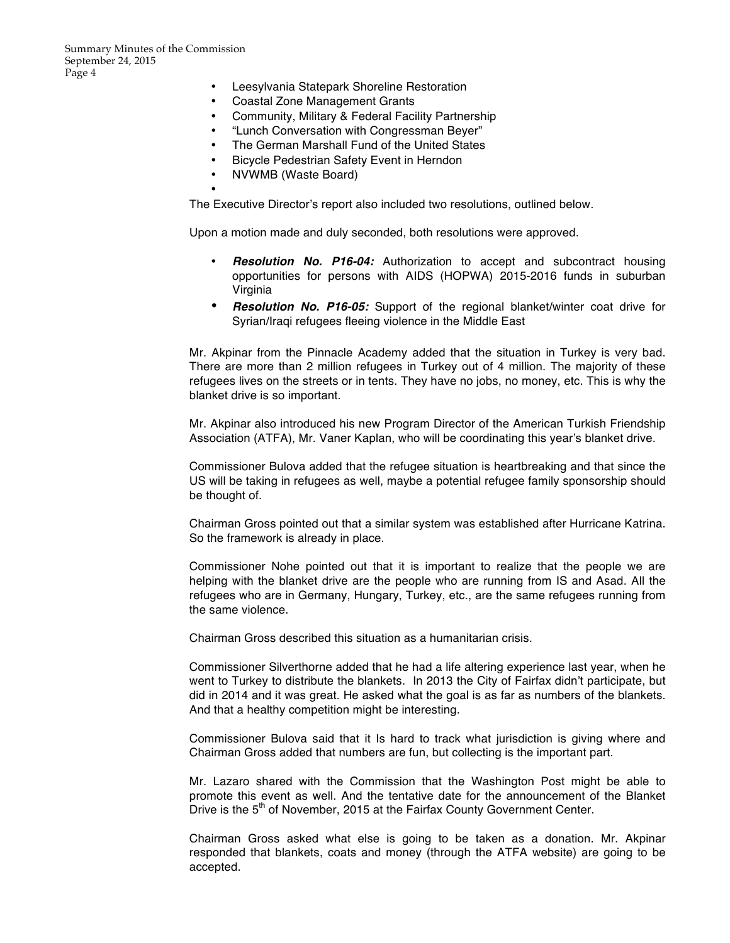- Leesylvania Statepark Shoreline Restoration
- Coastal Zone Management Grants
- Community, Military & Federal Facility Partnership
- "Lunch Conversation with Congressman Beyer"
- The German Marshall Fund of the United States
- Bicycle Pedestrian Safety Event in Herndon
- NVWMB (Waste Board)

•

The Executive Director's report also included two resolutions, outlined below.

Upon a motion made and duly seconded, both resolutions were approved.

- *Resolution No. P16-04:* Authorization to accept and subcontract housing opportunities for persons with AIDS (HOPWA) 2015-2016 funds in suburban Virginia
- *Resolution No. P16-05:* Support of the regional blanket/winter coat drive for Syrian/Iraqi refugees fleeing violence in the Middle East

Mr. Akpinar from the Pinnacle Academy added that the situation in Turkey is very bad. There are more than 2 million refugees in Turkey out of 4 million. The majority of these refugees lives on the streets or in tents. They have no jobs, no money, etc. This is why the blanket drive is so important.

Mr. Akpinar also introduced his new Program Director of the American Turkish Friendship Association (ATFA), Mr. Vaner Kaplan, who will be coordinating this year's blanket drive.

Commissioner Bulova added that the refugee situation is heartbreaking and that since the US will be taking in refugees as well, maybe a potential refugee family sponsorship should be thought of.

Chairman Gross pointed out that a similar system was established after Hurricane Katrina. So the framework is already in place.

Commissioner Nohe pointed out that it is important to realize that the people we are helping with the blanket drive are the people who are running from IS and Asad. All the refugees who are in Germany, Hungary, Turkey, etc., are the same refugees running from the same violence.

Chairman Gross described this situation as a humanitarian crisis.

Commissioner Silverthorne added that he had a life altering experience last year, when he went to Turkey to distribute the blankets. In 2013 the City of Fairfax didn't participate, but did in 2014 and it was great. He asked what the goal is as far as numbers of the blankets. And that a healthy competition might be interesting.

Commissioner Bulova said that it Is hard to track what jurisdiction is giving where and Chairman Gross added that numbers are fun, but collecting is the important part.

Mr. Lazaro shared with the Commission that the Washington Post might be able to promote this event as well. And the tentative date for the announcement of the Blanket Drive is the 5<sup>th</sup> of November, 2015 at the Fairfax County Government Center.

Chairman Gross asked what else is going to be taken as a donation. Mr. Akpinar responded that blankets, coats and money (through the ATFA website) are going to be accepted.